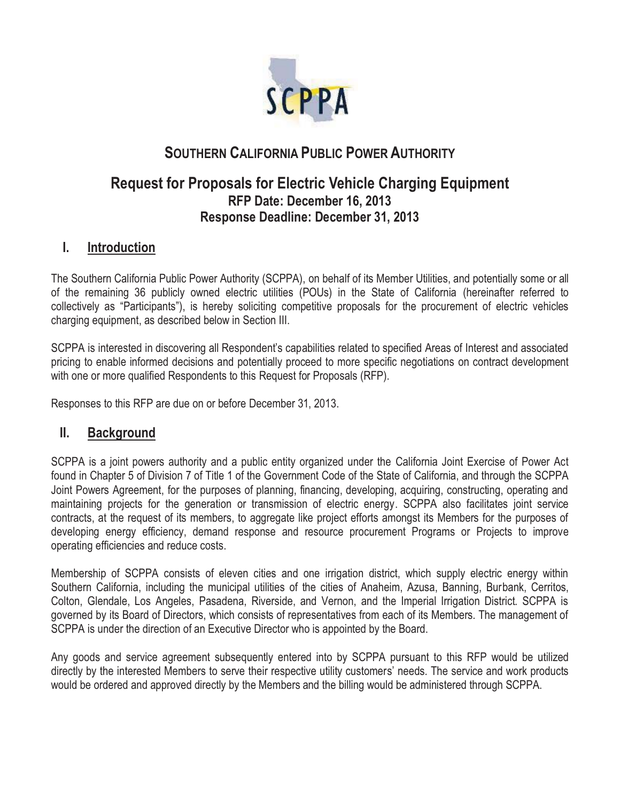

# **SOUTHERN CALIFORNIA PUBLIC POWER AUTHORITY**

# **Request for Proposals for Electric Vehicle Charging Equipment RFP Date: December 16, 2013 Response Deadline: December 31, 2013**

# **I. Introduction**

The Southern California Public Power Authority (SCPPA), on behalf of its Member Utilities, and potentially some or all of the remaining 36 publicly owned electric utilities (POUs) in the State of California (hereinafter referred to collectively as "Participants"), is hereby soliciting competitive proposals for the procurement of electric vehicles charging equipment, as described below in Section III.

SCPPA is interested in discovering all Respondent's capabilities related to specified Areas of Interest and associated pricing to enable informed decisions and potentially proceed to more specific negotiations on contract development with one or more qualified Respondents to this Request for Proposals (RFP).

Responses to this RFP are due on or before December 31, 2013.

# **II. Background**

SCPPA is a joint powers authority and a public entity organized under the California Joint Exercise of Power Act found in Chapter 5 of Division 7 of Title 1 of the Government Code of the State of California, and through the SCPPA Joint Powers Agreement, for the purposes of planning, financing, developing, acquiring, constructing, operating and maintaining projects for the generation or transmission of electric energy. SCPPA also facilitates joint service contracts, at the request of its members, to aggregate like project efforts amongst its Members for the purposes of developing energy efficiency, demand response and resource procurement Programs or Projects to improve operating efficiencies and reduce costs.

Membership of SCPPA consists of eleven cities and one irrigation district, which supply electric energy within Southern California, including the municipal utilities of the cities of Anaheim, Azusa, Banning, Burbank, Cerritos, Colton, Glendale, Los Angeles, Pasadena, Riverside, and Vernon, and the Imperial Irrigation District. SCPPA is governed by its Board of Directors, which consists of representatives from each of its Members. The management of SCPPA is under the direction of an Executive Director who is appointed by the Board.

Any goods and service agreement subsequently entered into by SCPPA pursuant to this RFP would be utilized directly by the interested Members to serve their respective utility customers' needs. The service and work products would be ordered and approved directly by the Members and the billing would be administered through SCPPA.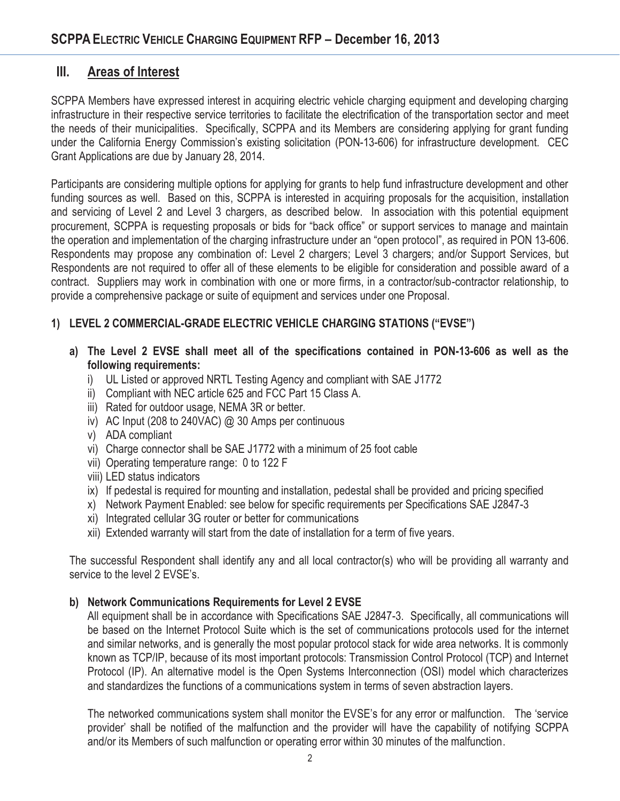# **III. Areas of Interest**

SCPPA Members have expressed interest in acquiring electric vehicle charging equipment and developing charging infrastructure in their respective service territories to facilitate the electrification of the transportation sector and meet the needs of their municipalities. Specifically, SCPPA and its Members are considering applying for grant funding under the California Energy Commission's existing solicitation (PON-13-606) for infrastructure development. CEC Grant Applications are due by January 28, 2014.

Participants are considering multiple options for applying for grants to help fund infrastructure development and other funding sources as well. Based on this, SCPPA is interested in acquiring proposals for the acquisition, installation and servicing of Level 2 and Level 3 chargers, as described below. In association with this potential equipment procurement, SCPPA is requesting proposals or bids for "back office" or support services to manage and maintain the operation and implementation of the charging infrastructure under an "open protocol", as required in PON 13-606. Respondents may propose any combination of: Level 2 chargers; Level 3 chargers; and/or Support Services, but Respondents are not required to offer all of these elements to be eligible for consideration and possible award of a contract. Suppliers may work in combination with one or more firms, in a contractor/sub-contractor relationship, to provide a comprehensive package or suite of equipment and services under one Proposal.

### **1) LEVEL 2 COMMERCIAL-GRADE ELECTRIC VEHICLE CHARGING STATIONS ("EVSE")**

- **a) The Level 2 EVSE shall meet all of the specifications contained in PON-13-606 as well as the following requirements:** 
	- i) UL Listed or approved NRTL Testing Agency and compliant with SAE J1772
	- ii) Compliant with NEC article 625 and FCC Part 15 Class A.
	- iii) Rated for outdoor usage, NEMA 3R or better.
	- iv) AC Input (208 to 240VAC) @ 30 Amps per continuous
	- v) ADA compliant
	- vi) Charge connector shall be SAE J1772 with a minimum of 25 foot cable
	- vii) Operating temperature range: 0 to 122 F
	- viii) LED status indicators
	- ix) If pedestal is required for mounting and installation, pedestal shall be provided and pricing specified
	- x) Network Payment Enabled: see below for specific requirements per Specifications SAE J2847-3
	- xi) Integrated cellular 3G router or better for communications
	- xii) Extended warranty will start from the date of installation for a term of five years.

The successful Respondent shall identify any and all local contractor(s) who will be providing all warranty and service to the level 2 EVSE's.

#### **b) Network Communications Requirements for Level 2 EVSE**

All equipment shall be in accordance with Specifications SAE J2847-3. Specifically, all communications will be based on the Internet Protocol Suite which is the set of communications protocols used for the internet and similar networks, and is generally the most popular protocol stack for wide area networks. It is commonly known as TCP/IP, because of its most important protocols: Transmission Control Protocol (TCP) and Internet Protocol (IP). An alternative model is the Open Systems Interconnection (OSI) model which characterizes and standardizes the functions of a communications system in terms of seven abstraction layers.

The networked communications system shall monitor the EVSE's for any error or malfunction. The 'service provider' shall be notified of the malfunction and the provider will have the capability of notifying SCPPA and/or its Members of such malfunction or operating error within 30 minutes of the malfunction.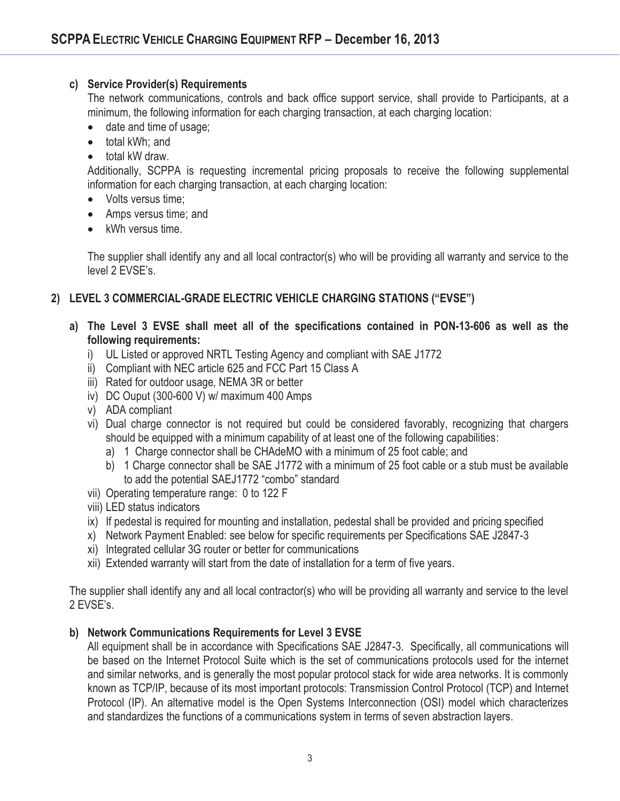#### **c) Service Provider(s) Requirements**

The network communications, controls and back office support service, shall provide to Participants, at a minimum, the following information for each charging transaction, at each charging location:

- date and time of usage;
- $\bullet$ total kWh; and
- $\bullet$ total kW draw.

Additionally, SCPPA is requesting incremental pricing proposals to receive the following supplemental information for each charging transaction, at each charging location:

- Volts versus time;
- Amps versus time; and
- kWh versus time.

The supplier shall identify any and all local contractor(s) who will be providing all warranty and service to the level 2 EVSE's.

### **2) LEVEL 3 COMMERCIAL-GRADE ELECTRIC VEHICLE CHARGING STATIONS ("EVSE")**

- **a) The Level 3 EVSE shall meet all of the specifications contained in PON-13-606 as well as the following requirements:** 
	- i) UL Listed or approved NRTL Testing Agency and compliant with SAE J1772
	- ii) Compliant with NEC article 625 and FCC Part 15 Class A
	- iii) Rated for outdoor usage, NEMA 3R or better
	- iv) DC Ouput (300-600 V) w/ maximum 400 Amps
	- v) ADA compliant
	- vi) Dual charge connector is not required but could be considered favorably, recognizing that chargers should be equipped with a minimum capability of at least one of the following capabilities:
		- a) 1 Charge connector shall be CHAdeMO with a minimum of 25 foot cable; and
		- b) 1 Charge connector shall be SAE J1772 with a minimum of 25 foot cable or a stub must be available to add the potential SAEJ1772 "combo" standard
	- vii) Operating temperature range: 0 to 122 F
	- viii) LED status indicators
	- ix) If pedestal is required for mounting and installation, pedestal shall be provided and pricing specified
	- x) Network Payment Enabled: see below for specific requirements per Specifications SAE J2847-3
	- xi) Integrated cellular 3G router or better for communications
	- xii) Extended warranty will start from the date of installation for a term of five years.

The supplier shall identify any and all local contractor(s) who will be providing all warranty and service to the level 2 EVSE's.

#### **b) Network Communications Requirements for Level 3 EVSE**

All equipment shall be in accordance with Specifications SAE J2847-3. Specifically, all communications will be based on the Internet Protocol Suite which is the set of communications protocols used for the internet and similar networks, and is generally the most popular protocol stack for wide area networks. It is commonly known as TCP/IP, because of its most important protocols: Transmission Control Protocol (TCP) and Internet Protocol (IP). An alternative model is the Open Systems Interconnection (OSI) model which characterizes and standardizes the functions of a communications system in terms of seven abstraction layers.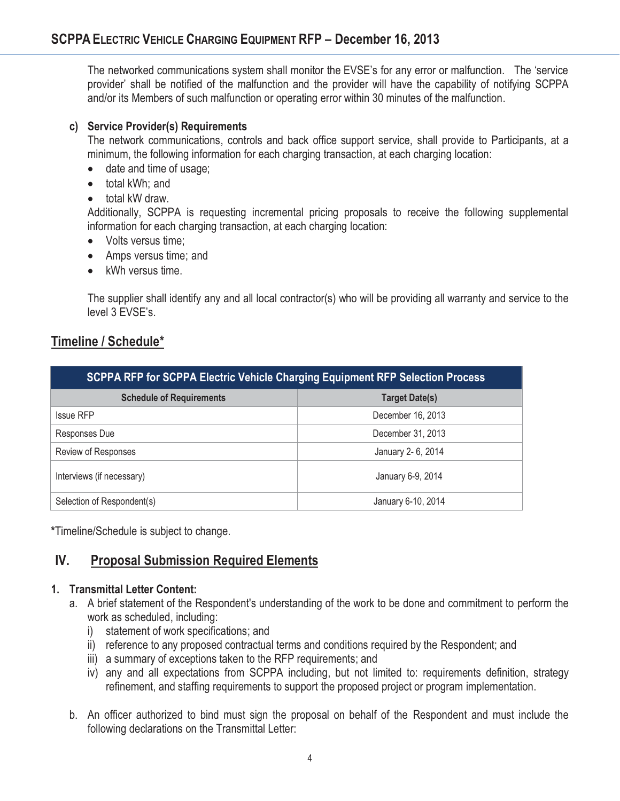The networked communications system shall monitor the EVSE's for any error or malfunction. The 'service provider' shall be notified of the malfunction and the provider will have the capability of notifying SCPPA and/or its Members of such malfunction or operating error within 30 minutes of the malfunction.

#### **c) Service Provider(s) Requirements**

The network communications, controls and back office support service, shall provide to Participants, at a minimum, the following information for each charging transaction, at each charging location:

- $\bullet$ date and time of usage;
- total kWh; and
- $\bullet$ total kW draw.

Additionally, SCPPA is requesting incremental pricing proposals to receive the following supplemental information for each charging transaction, at each charging location:

- Volts versus time;
- Amps versus time; and
- kWh versus time.

The supplier shall identify any and all local contractor(s) who will be providing all warranty and service to the level 3 EVSE's.

# **Timeline / Schedule\***

| <b>SCPPA RFP for SCPPA Electric Vehicle Charging Equipment RFP Selection Process</b> |                       |
|--------------------------------------------------------------------------------------|-----------------------|
| <b>Schedule of Requirements</b>                                                      | <b>Target Date(s)</b> |
| <b>Issue RFP</b>                                                                     | December 16, 2013     |
| Responses Due                                                                        | December 31, 2013     |
| Review of Responses                                                                  | January 2- 6, 2014    |
| Interviews (if necessary)                                                            | January 6-9, 2014     |
| Selection of Respondent(s)                                                           | January 6-10, 2014    |

**\***Timeline/Schedule is subject to change.

# **IV. Proposal Submission Required Elements**

#### **1. Transmittal Letter Content:**

- a. A brief statement of the Respondent's understanding of the work to be done and commitment to perform the work as scheduled, including:
	- i) statement of work specifications; and
	- ii) reference to any proposed contractual terms and conditions required by the Respondent; and
	- iii) a summary of exceptions taken to the RFP requirements; and
	- iv) any and all expectations from SCPPA including, but not limited to: requirements definition, strategy refinement, and staffing requirements to support the proposed project or program implementation.
- b. An officer authorized to bind must sign the proposal on behalf of the Respondent and must include the following declarations on the Transmittal Letter: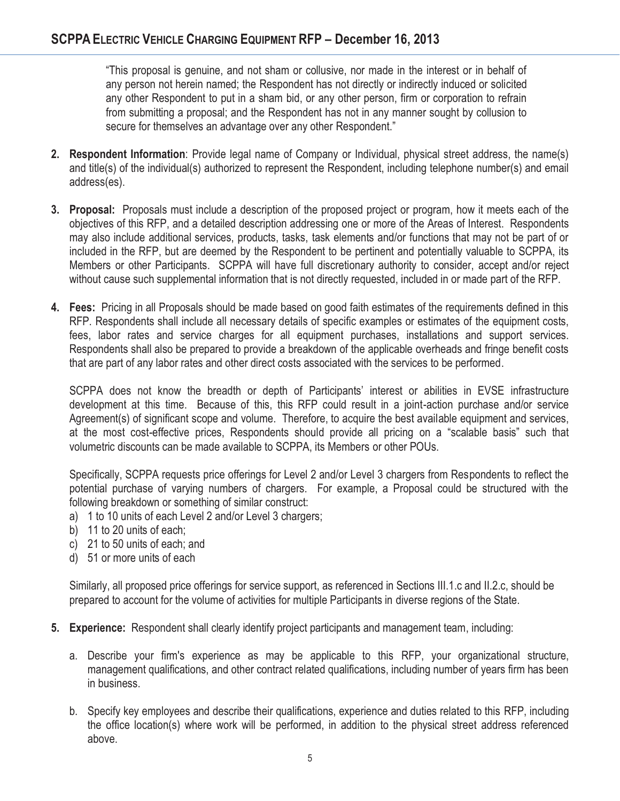"This proposal is genuine, and not sham or collusive, nor made in the interest or in behalf of any person not herein named; the Respondent has not directly or indirectly induced or solicited any other Respondent to put in a sham bid, or any other person, firm or corporation to refrain from submitting a proposal; and the Respondent has not in any manner sought by collusion to secure for themselves an advantage over any other Respondent."

- **2. Respondent Information**: Provide legal name of Company or Individual, physical street address, the name(s) and title(s) of the individual(s) authorized to represent the Respondent, including telephone number(s) and email address(es).
- **3. Proposal:** Proposals must include a description of the proposed project or program, how it meets each of the objectives of this RFP, and a detailed description addressing one or more of the Areas of Interest. Respondents may also include additional services, products, tasks, task elements and/or functions that may not be part of or included in the RFP, but are deemed by the Respondent to be pertinent and potentially valuable to SCPPA, its Members or other Participants. SCPPA will have full discretionary authority to consider, accept and/or reject without cause such supplemental information that is not directly requested, included in or made part of the RFP.
- **4. Fees:** Pricing in all Proposals should be made based on good faith estimates of the requirements defined in this RFP. Respondents shall include all necessary details of specific examples or estimates of the equipment costs, fees, labor rates and service charges for all equipment purchases, installations and support services. Respondents shall also be prepared to provide a breakdown of the applicable overheads and fringe benefit costs that are part of any labor rates and other direct costs associated with the services to be performed.

SCPPA does not know the breadth or depth of Participants' interest or abilities in EVSE infrastructure development at this time. Because of this, this RFP could result in a joint-action purchase and/or service Agreement(s) of significant scope and volume. Therefore, to acquire the best available equipment and services, at the most cost-effective prices, Respondents should provide all pricing on a "scalable basis" such that volumetric discounts can be made available to SCPPA, its Members or other POUs.

Specifically, SCPPA requests price offerings for Level 2 and/or Level 3 chargers from Respondents to reflect the potential purchase of varying numbers of chargers. For example, a Proposal could be structured with the following breakdown or something of similar construct:

- a) 1 to 10 units of each Level 2 and/or Level 3 chargers;
- b) 11 to 20 units of each;
- c) 21 to 50 units of each; and
- d) 51 or more units of each

Similarly, all proposed price offerings for service support, as referenced in Sections III.1.c and II.2.c, should be prepared to account for the volume of activities for multiple Participants in diverse regions of the State.

- **5. Experience:** Respondent shall clearly identify project participants and management team, including:
	- a. Describe your firm's experience as may be applicable to this RFP, your organizational structure, management qualifications, and other contract related qualifications, including number of years firm has been in business.
	- b. Specify key employees and describe their qualifications, experience and duties related to this RFP, including the office location(s) where work will be performed, in addition to the physical street address referenced above.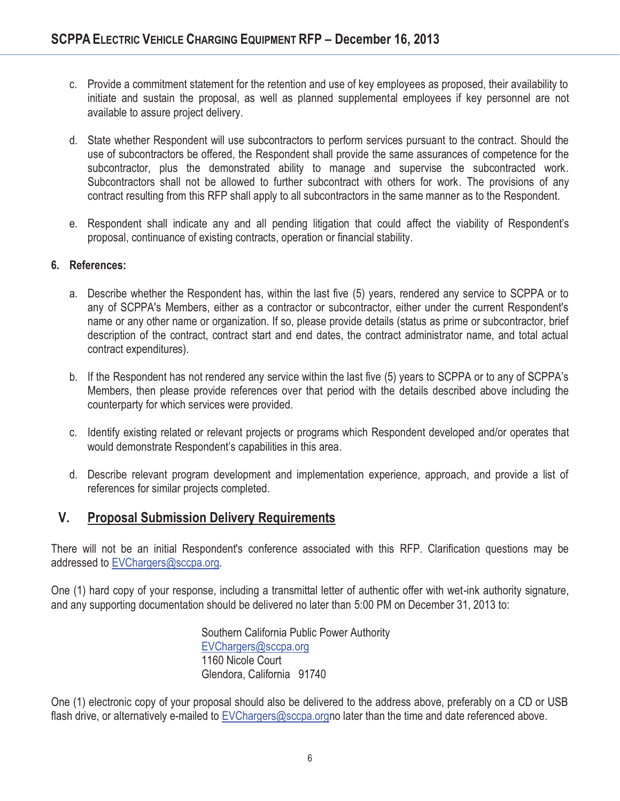- c. Provide a commitment statement for the retention and use of key employees as proposed, their availability to initiate and sustain the proposal, as well as planned supplemental employees if key personnel are not available to assure project delivery.
- d. State whether Respondent will use subcontractors to perform services pursuant to the contract. Should the use of subcontractors be offered, the Respondent shall provide the same assurances of competence for the subcontractor, plus the demonstrated ability to manage and supervise the subcontracted work. Subcontractors shall not be allowed to further subcontract with others for work. The provisions of any contract resulting from this RFP shall apply to all subcontractors in the same manner as to the Respondent.
- e. Respondent shall indicate any and all pending litigation that could affect the viability of Respondent's proposal, continuance of existing contracts, operation or financial stability.

#### **6. References:**

- a. Describe whether the Respondent has, within the last five (5) years, rendered any service to SCPPA or to any of SCPPA's Members, either as a contractor or subcontractor, either under the current Respondent's name or any other name or organization. If so, please provide details (status as prime or subcontractor, brief description of the contract, contract start and end dates, the contract administrator name, and total actual contract expenditures).
- b. If the Respondent has not rendered any service within the last five (5) years to SCPPA or to any of SCPPA's Members, then please provide references over that period with the details described above including the counterparty for which services were provided.
- c. Identify existing related or relevant projects or programs which Respondent developed and/or operates that would demonstrate Respondent's capabilities in this area.
- d. Describe relevant program development and implementation experience, approach, and provide a list of references for similar projects completed.

# **V. Proposal Submission Delivery Requirements**

There will not be an initial Respondent's conference associated with this RFP. Clarification questions may be addressed to EVChargers@sccpa.org.

One (1) hard copy of your response, including a transmittal letter of authentic offer with wet-ink authority signature, and any supporting documentation should be delivered no later than 5:00 PM on December 31, 2013 to:

> Southern California Public Power Authority EVChargers@sccpa.org 1160 Nicole Court Glendora, California 91740

One (1) electronic copy of your proposal should also be delivered to the address above, preferably on a CD or USB flash drive, or alternatively e-mailed to EVChargers@sccpa.orgno later than the time and date referenced above.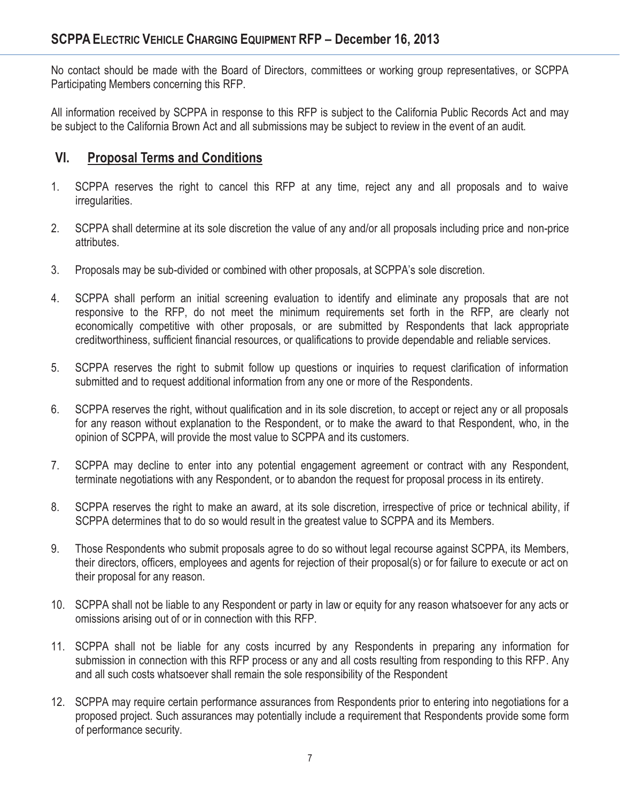No contact should be made with the Board of Directors, committees or working group representatives, or SCPPA Participating Members concerning this RFP.

All information received by SCPPA in response to this RFP is subject to the California Public Records Act and may be subject to the California Brown Act and all submissions may be subject to review in the event of an audit.

# **VI. Proposal Terms and Conditions**

- 1. SCPPA reserves the right to cancel this RFP at any time, reject any and all proposals and to waive irregularities.
- 2. SCPPA shall determine at its sole discretion the value of any and/or all proposals including price and non-price attributes.
- 3. Proposals may be sub-divided or combined with other proposals, at SCPPA's sole discretion.
- 4. SCPPA shall perform an initial screening evaluation to identify and eliminate any proposals that are not responsive to the RFP, do not meet the minimum requirements set forth in the RFP, are clearly not economically competitive with other proposals, or are submitted by Respondents that lack appropriate creditworthiness, sufficient financial resources, or qualifications to provide dependable and reliable services.
- 5. SCPPA reserves the right to submit follow up questions or inquiries to request clarification of information submitted and to request additional information from any one or more of the Respondents.
- 6. SCPPA reserves the right, without qualification and in its sole discretion, to accept or reject any or all proposals for any reason without explanation to the Respondent, or to make the award to that Respondent, who, in the opinion of SCPPA, will provide the most value to SCPPA and its customers.
- 7. SCPPA may decline to enter into any potential engagement agreement or contract with any Respondent, terminate negotiations with any Respondent, or to abandon the request for proposal process in its entirety.
- 8. SCPPA reserves the right to make an award, at its sole discretion, irrespective of price or technical ability, if SCPPA determines that to do so would result in the greatest value to SCPPA and its Members.
- 9. Those Respondents who submit proposals agree to do so without legal recourse against SCPPA, its Members, their directors, officers, employees and agents for rejection of their proposal(s) or for failure to execute or act on their proposal for any reason.
- 10. SCPPA shall not be liable to any Respondent or party in law or equity for any reason whatsoever for any acts or omissions arising out of or in connection with this RFP.
- 11. SCPPA shall not be liable for any costs incurred by any Respondents in preparing any information for submission in connection with this RFP process or any and all costs resulting from responding to this RFP. Any and all such costs whatsoever shall remain the sole responsibility of the Respondent
- 12. SCPPA may require certain performance assurances from Respondents prior to entering into negotiations for a proposed project. Such assurances may potentially include a requirement that Respondents provide some form of performance security.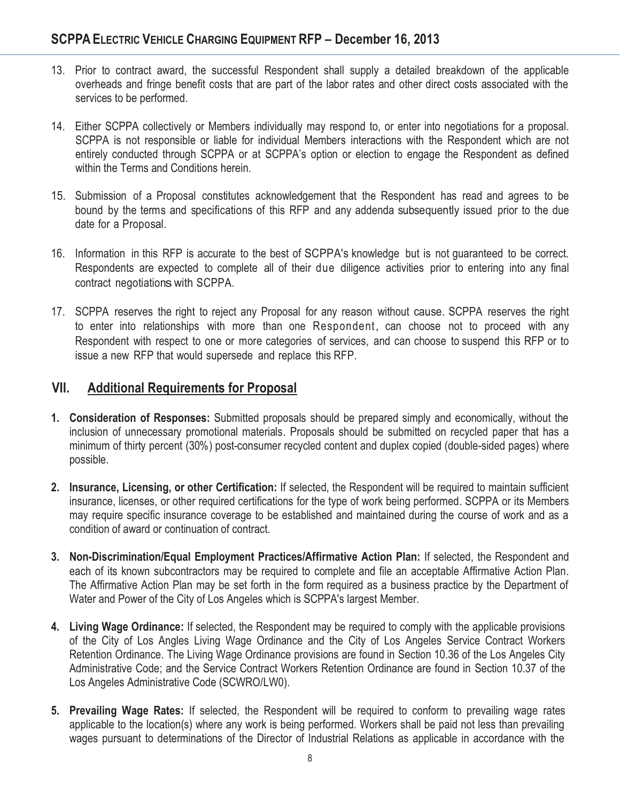- 13. Prior to contract award, the successful Respondent shall supply a detailed breakdown of the applicable overheads and fringe benefit costs that are part of the labor rates and other direct costs associated with the services to be performed.
- 14. Either SCPPA collectively or Members individually may respond to, or enter into negotiations for a proposal. SCPPA is not responsible or liable for individual Members interactions with the Respondent which are not entirely conducted through SCPPA or at SCPPA's option or election to engage the Respondent as defined within the Terms and Conditions herein.
- 15. Submission of a Proposal constitutes acknowledgement that the Respondent has read and agrees to be bound by the terms and specifications of this RFP and any addenda subsequently issued prior to the due date for a Proposal.
- 16. Information in this RFP is accurate to the best of SCPPA's knowledge but is not guaranteed to be correct. Respondents are expected to complete all of their due diligence activities prior to entering into any final contract negotiations with SCPPA.
- 17. SCPPA reserves the right to reject any Proposal for any reason without cause. SCPPA reserves the right to enter into relationships with more than one Respondent, can choose not to proceed with any Respondent with respect to one or more categories of services, and can choose to suspend this RFP or to issue a new RFP that would supersede and replace this RFP.

# **VII. Additional Requirements for Proposal**

- **1. Consideration of Responses:** Submitted proposals should be prepared simply and economically, without the inclusion of unnecessary promotional materials. Proposals should be submitted on recycled paper that has a minimum of thirty percent (30%) post-consumer recycled content and duplex copied (double-sided pages) where possible.
- **2. Insurance, Licensing, or other Certification:** If selected, the Respondent will be required to maintain sufficient insurance, licenses, or other required certifications for the type of work being performed. SCPPA or its Members may require specific insurance coverage to be established and maintained during the course of work and as a condition of award or continuation of contract.
- **3. Non-Discrimination/Equal Employment Practices/Affirmative Action Plan:** If selected, the Respondent and each of its known subcontractors may be required to complete and file an acceptable Affirmative Action Plan. The Affirmative Action Plan may be set forth in the form required as a business practice by the Department of Water and Power of the City of Los Angeles which is SCPPA's largest Member.
- **4. Living Wage Ordinance:** If selected, the Respondent may be required to comply with the applicable provisions of the City of Los Angles Living Wage Ordinance and the City of Los Angeles Service Contract Workers Retention Ordinance. The Living Wage Ordinance provisions are found in Section 10.36 of the Los Angeles City Administrative Code; and the Service Contract Workers Retention Ordinance are found in Section 10.37 of the Los Angeles Administrative Code (SCWRO/LW0).
- **5. Prevailing Wage Rates:** If selected, the Respondent will be required to conform to prevailing wage rates applicable to the location(s) where any work is being performed. Workers shall be paid not less than prevailing wages pursuant to determinations of the Director of Industrial Relations as applicable in accordance with the